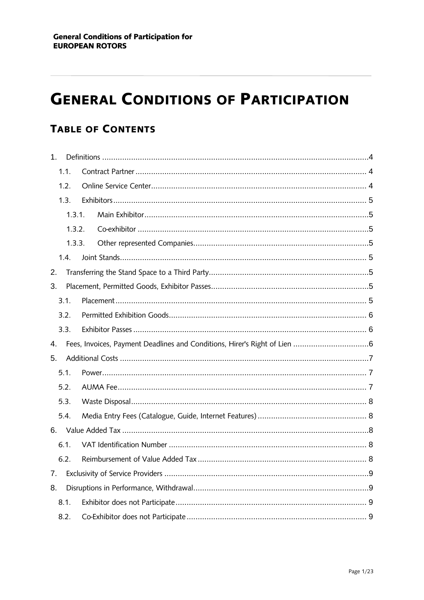# **GENERAL CONDITIONS OF PARTICIPATION**

# **TABLE OF CONTENTS**

| 1 <sub>1</sub> |        |  |
|----------------|--------|--|
|                | 1.1.   |  |
|                | 1.2.   |  |
|                | 1.3.   |  |
|                | 1.3.1. |  |
|                | 1.3.2. |  |
| 1.3.3.         |        |  |
|                | 1.4.   |  |
| 2.             |        |  |
| 3.             |        |  |
|                | 3.1.   |  |
|                | 3.2.   |  |
|                | 3.3.   |  |
| 4.             |        |  |
| 5.             |        |  |
|                |        |  |
|                | 5.1.   |  |
|                | 5.2.   |  |
|                | 5.3.   |  |
|                | 5.4.   |  |
|                |        |  |
|                | 6.1.   |  |
|                | 6.2.   |  |
| 7.             |        |  |
| 8.             |        |  |
|                | 8.1.   |  |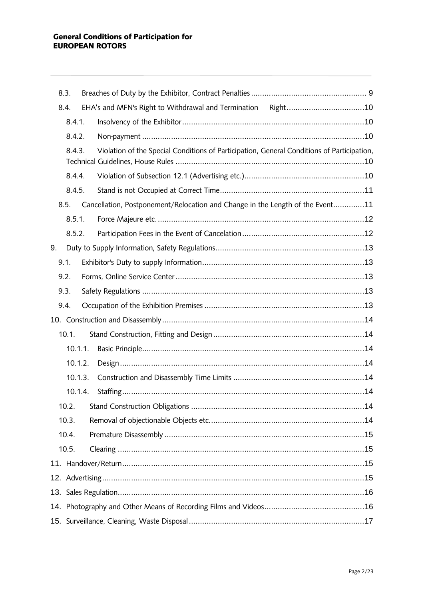|    | 8.3.    |  |                                                                                            |  |
|----|---------|--|--------------------------------------------------------------------------------------------|--|
|    | 8.4.    |  |                                                                                            |  |
|    | 8.4.1.  |  |                                                                                            |  |
|    | 8.4.2.  |  |                                                                                            |  |
|    | 8.4.3.  |  | Violation of the Special Conditions of Participation, General Conditions of Participation, |  |
|    | 8.4.4.  |  |                                                                                            |  |
|    | 8.4.5.  |  |                                                                                            |  |
|    | 8.5.    |  | Cancellation, Postponement/Relocation and Change in the Length of the Event11              |  |
|    | 8.5.1.  |  |                                                                                            |  |
|    | 8.5.2.  |  |                                                                                            |  |
| 9. |         |  |                                                                                            |  |
|    | 9.1.    |  |                                                                                            |  |
|    | 9.2.    |  |                                                                                            |  |
|    | 9.3.    |  |                                                                                            |  |
|    | 9.4.    |  |                                                                                            |  |
|    |         |  |                                                                                            |  |
|    | 10.1.   |  |                                                                                            |  |
|    | 10.1.1. |  |                                                                                            |  |
|    | 10.1.2. |  |                                                                                            |  |
|    | 10.1.3. |  |                                                                                            |  |
|    | 10.1.4. |  |                                                                                            |  |
|    | 10.2.   |  |                                                                                            |  |
|    | 10.3.   |  |                                                                                            |  |
|    | 10.4.   |  |                                                                                            |  |
|    | 10.5.   |  |                                                                                            |  |
|    |         |  |                                                                                            |  |
|    |         |  |                                                                                            |  |
|    |         |  |                                                                                            |  |
|    |         |  |                                                                                            |  |
|    |         |  |                                                                                            |  |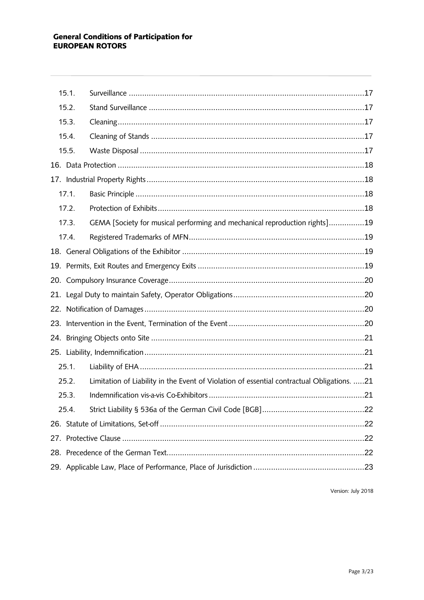| 15.1. |                                                                                            |  |
|-------|--------------------------------------------------------------------------------------------|--|
| 15.2. |                                                                                            |  |
| 15.3. |                                                                                            |  |
| 15.4. |                                                                                            |  |
| 15.5. |                                                                                            |  |
|       |                                                                                            |  |
|       |                                                                                            |  |
| 17.1. |                                                                                            |  |
| 17.2. |                                                                                            |  |
| 17.3. | GEMA [Society for musical performing and mechanical reproduction rights]19                 |  |
| 17.4. |                                                                                            |  |
|       |                                                                                            |  |
|       |                                                                                            |  |
|       |                                                                                            |  |
|       |                                                                                            |  |
|       |                                                                                            |  |
|       |                                                                                            |  |
|       |                                                                                            |  |
|       |                                                                                            |  |
| 25.1. |                                                                                            |  |
| 25.2. | Limitation of Liability in the Event of Violation of essential contractual Obligations. 21 |  |
| 25.3. |                                                                                            |  |
| 25.4. |                                                                                            |  |
|       |                                                                                            |  |
|       |                                                                                            |  |
|       |                                                                                            |  |
|       |                                                                                            |  |
|       |                                                                                            |  |

Version: July 2018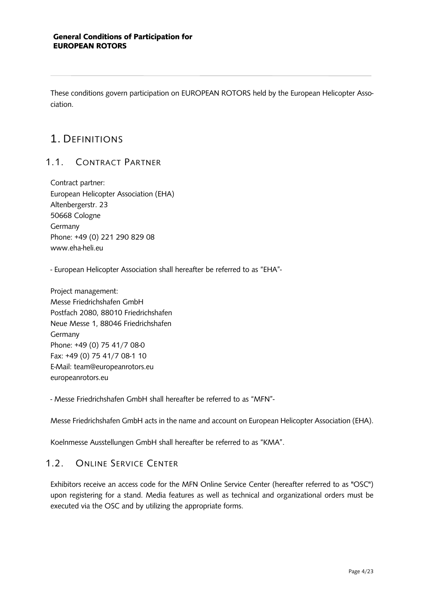<span id="page-3-0"></span>These conditions govern participation on EUROPEAN ROTORS held by the European Helicopter Association.

# 1. DEFINITIONS

### <span id="page-3-1"></span>11 CONTRACT PARTNER

Contract partner: European Helicopter Association (EHA) Altenbergerstr. 23 50668 Cologne **Germany** Phone: +49 (0) 221 290 829 08 www.eha-heli.eu

- European Helicopter Association shall hereafter be referred to as "EHA"-

Project management: Messe Friedrichshafen GmbH Postfach 2080, 88010 Friedrichshafen Neue Messe 1, 88046 Friedrichshafen Germany Phone: +49 (0) 75 41/7 08-0 Fax: +49 (0) 75 41/7 08-1 10 E-Mail: team@europeanrotors.eu europeanrotors.eu

- Messe Friedrichshafen GmbH shall hereafter be referred to as "MFN"-

Messe Friedrichshafen GmbH acts in the name and account on European Helicopter Association (EHA).

<span id="page-3-2"></span>Koelnmesse Ausstellungen GmbH shall hereafter be referred to as "KMA".

### 1.2. ONLINE SERVICE CENTER

Exhibitors receive an access code for the MFN Online Service Center (hereafter referred to as "OSC") upon registering for a stand. Media features as well as technical and organizational orders must be executed via the OSC and by utilizing the appropriate forms.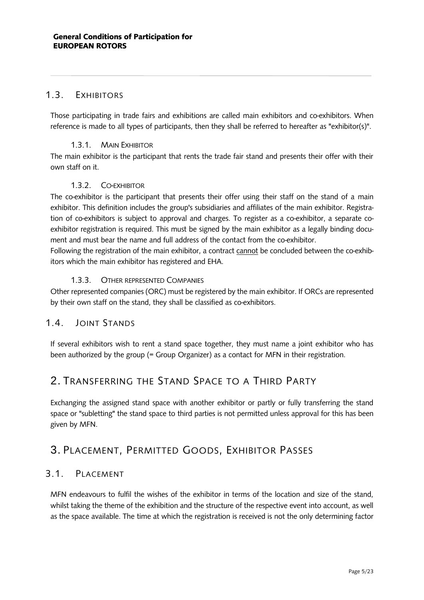### <span id="page-4-0"></span>1.3. EXHIBITORS

Those participating in trade fairs and exhibitions are called main exhibitors and co-exhibitors. When reference is made to all types of participants, then they shall be referred to hereafter as "exhibitor(s)".

#### 1.3.1. MAIN EXHIBITOR

<span id="page-4-1"></span>The main exhibitor is the participant that rents the trade fair stand and presents their offer with their own staff on it.

#### 1.3.2. CO-EXHIBITOR

<span id="page-4-2"></span>The co-exhibitor is the participant that presents their offer using their staff on the stand of a main exhibitor. This definition includes the group's subsidiaries and affiliates of the main exhibitor. Registration of co-exhibitors is subject to approval and charges. To register as a co-exhibitor, a separate coexhibitor registration is required. This must be signed by the main exhibitor as a legally binding document and must bear the name and full address of the contact from the co-exhibitor.

Following the registration of the main exhibitor, a contract cannot be concluded between the co-exhibitors which the main exhibitor has registered and EHA.

#### 1.3.3. OTHER REPRESENTED COMPANIES

<span id="page-4-3"></span>Other represented companies (ORC) must be registered by the main exhibitor. If ORCs are represented by their own staff on the stand, they shall be classified as co-exhibitors.

### <span id="page-4-4"></span>1.4. JOINT STANDS

If several exhibitors wish to rent a stand space together, they must name a joint exhibitor who has been authorized by the group (= Group Organizer) as a contact for MFN in their registration.

### <span id="page-4-5"></span>2. TRANSFERRING THE STAND SPACE TO A THIRD PARTY

Exchanging the assigned stand space with another exhibitor or partly or fully transferring the stand space or "subletting" the stand space to third parties is not permitted unless approval for this has been given by MFN.

# <span id="page-4-6"></span>3. PLACEMENT, PERMITTED GOODS, EXHIBITOR PASSES

### <span id="page-4-7"></span>3.1. PLACEMENT

MFN endeavours to fulfil the wishes of the exhibitor in terms of the location and size of the stand, whilst taking the theme of the exhibition and the structure of the respective event into account, as well as the space available. The time at which the registration is received is not the only determining factor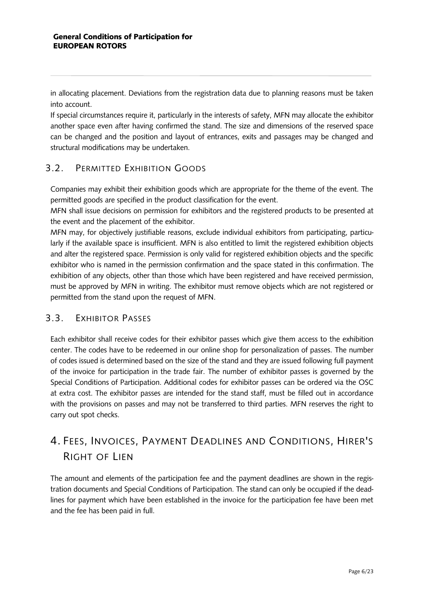in allocating placement. Deviations from the registration data due to planning reasons must be taken into account.

If special circumstances require it, particularly in the interests of safety, MFN may allocate the exhibitor another space even after having confirmed the stand. The size and dimensions of the reserved space can be changed and the position and layout of entrances, exits and passages may be changed and structural modifications may be undertaken.

### <span id="page-5-0"></span>3.2. PERMITTED EXHIBITION GOODS

Companies may exhibit their exhibition goods which are appropriate for the theme of the event. The permitted goods are specified in the product classification for the event.

MFN shall issue decisions on permission for exhibitors and the registered products to be presented at the event and the placement of the exhibitor.

MFN may, for objectively justifiable reasons, exclude individual exhibitors from participating, particularly if the available space is insufficient. MFN is also entitled to limit the registered exhibition objects and alter the registered space. Permission is only valid for registered exhibition objects and the specific exhibitor who is named in the permission confirmation and the space stated in this confirmation. The exhibition of any objects, other than those which have been registered and have received permission, must be approved by MFN in writing. The exhibitor must remove objects which are not registered or permitted from the stand upon the request of MFN.

### <span id="page-5-1"></span>3.3. EXHIBITOR PASSES

Each exhibitor shall receive codes for their exhibitor passes which give them access to the exhibition center. The codes have to be redeemed in our online shop for personalization of passes. The number of codes issued is determined based on the size of the stand and they are issued following full payment of the invoice for participation in the trade fair. The number of exhibitor passes is governed by the Special Conditions of Participation. Additional codes for exhibitor passes can be ordered via the OSC at extra cost. The exhibitor passes are intended for the stand staff, must be filled out in accordance with the provisions on passes and may not be transferred to third parties. MFN reserves the right to carry out spot checks.

# <span id="page-5-2"></span>4. FEES, INVOICES, PAYMENT DEADLINES AND CONDITIONS, HIRER'S RIGHT OF LIEN

The amount and elements of the participation fee and the payment deadlines are shown in the registration documents and Special Conditions of Participation. The stand can only be occupied if the deadlines for payment which have been established in the invoice for the participation fee have been met and the fee has been paid in full.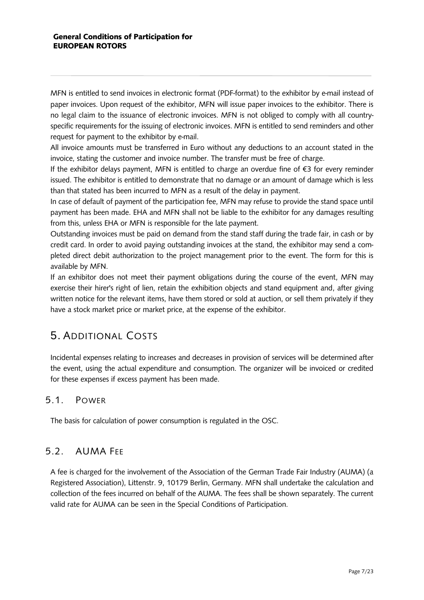MFN is entitled to send invoices in electronic format (PDF-format) to the exhibitor by e-mail instead of paper invoices. Upon request of the exhibitor, MFN will issue paper invoices to the exhibitor. There is no legal claim to the issuance of electronic invoices. MFN is not obliged to comply with all countryspecific requirements for the issuing of electronic invoices. MFN is entitled to send reminders and other request for payment to the exhibitor by e-mail.

All invoice amounts must be transferred in Euro without any deductions to an account stated in the invoice, stating the customer and invoice number. The transfer must be free of charge.

If the exhibitor delays payment, MFN is entitled to charge an overdue fine of €3 for every reminder issued. The exhibitor is entitled to demonstrate that no damage or an amount of damage which is less than that stated has been incurred to MFN as a result of the delay in payment.

In case of default of payment of the participation fee, MFN may refuse to provide the stand space until payment has been made. EHA and MFN shall not be liable to the exhibitor for any damages resulting from this, unless EHA or MFN is responsible for the late payment.

Outstanding invoices must be paid on demand from the stand staff during the trade fair, in cash or by credit card. In order to avoid paying outstanding invoices at the stand, the exhibitor may send a completed direct debit authorization to the project management prior to the event. The form for this is available by MFN.

If an exhibitor does not meet their payment obligations during the course of the event, MFN may exercise their hirer's right of lien, retain the exhibition objects and stand equipment and, after giving written notice for the relevant items, have them stored or sold at auction, or sell them privately if they have a stock market price or market price, at the expense of the exhibitor.

# <span id="page-6-0"></span>5. ADDITIONAL COSTS

Incidental expenses relating to increases and decreases in provision of services will be determined after the event, using the actual expenditure and consumption. The organizer will be invoiced or credited for these expenses if excess payment has been made.

### <span id="page-6-1"></span>5.1. POWER

The basis for calculation of power consumption is regulated in the OSC.

### <span id="page-6-2"></span>5.2. AUMA FEE

A fee is charged for the involvement of the Association of the German Trade Fair Industry (AUMA) (a Registered Association), Littenstr. 9, 10179 Berlin, Germany. MFN shall undertake the calculation and collection of the fees incurred on behalf of the AUMA. The fees shall be shown separately. The current valid rate for AUMA can be seen in the Special Conditions of Participation.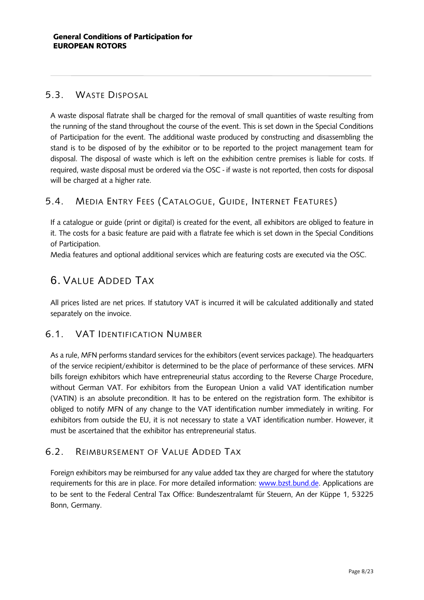### <span id="page-7-0"></span>5.3. WASTE DISPOSAL

A waste disposal flatrate shall be charged for the removal of small quantities of waste resulting from the running of the stand throughout the course of the event. This is set down in the Special Conditions of Participation for the event. The additional waste produced by constructing and disassembling the stand is to be disposed of by the exhibitor or to be reported to the project management team for disposal. The disposal of waste which is left on the exhibition centre premises is liable for costs. If required, waste disposal must be ordered via the OSC - if waste is not reported, then costs for disposal will be charged at a higher rate.

### <span id="page-7-1"></span>5.4. MEDIA ENTRY FEES (CATALOGUE, GUIDE, INTERNET FEATURES)

If a catalogue or guide (print or digital) is created for the event, all exhibitors are obliged to feature in it. The costs for a basic feature are paid with a flatrate fee which is set down in the Special Conditions of Participation.

<span id="page-7-2"></span>Media features and optional additional services which are featuring costs are executed via the OSC.

# 6. VALUE ADDED TAX

All prices listed are net prices. If statutory VAT is incurred it will be calculated additionally and stated separately on the invoice.

### <span id="page-7-3"></span>6.1. VAT IDENTIFICATION NUMBER

As a rule, MFN performs standard services for the exhibitors (event services package). The headquarters of the service recipient/exhibitor is determined to be the place of performance of these services. MFN bills foreign exhibitors which have entrepreneurial status according to the Reverse Charge Procedure, without German VAT. For exhibitors from the European Union a valid VAT identification number (VATIN) is an absolute precondition. It has to be entered on the registration form. The exhibitor is obliged to notify MFN of any change to the VAT identification number immediately in writing. For exhibitors from outside the EU, it is not necessary to state a VAT identification number. However, it must be ascertained that the exhibitor has entrepreneurial status.

### <span id="page-7-4"></span>6.2. REIMBURSEMENT OF VALUE ADDED TAX

Foreign exhibitors may be reimbursed for any value added tax they are charged for where the statutory requirements for this are in place. For more detailed information: [www.bzst.bund.de.](http://www.bzst.bund.de/) Applications are to be sent to the Federal Central Tax Office: Bundeszentralamt für Steuern, An der Küppe 1, 53225 Bonn, Germany.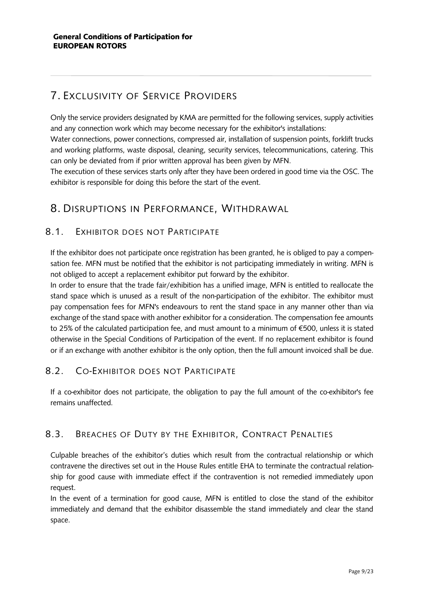# <span id="page-8-0"></span>7. EXCLUSIVITY OF SERVICE PROVIDERS

Only the service providers designated by KMA are permitted for the following services, supply activities and any connection work which may become necessary for the exhibitor's installations:

Water connections, power connections, compressed air, installation of suspension points, forklift trucks and working platforms, waste disposal, cleaning, security services, telecommunications, catering. This can only be deviated from if prior written approval has been given by MFN.

The execution of these services starts only after they have been ordered in good time via the OSC. The exhibitor is responsible for doing this before the start of the event.

### <span id="page-8-1"></span>8. DISRUPTIONS IN PERFORMANCE, WITHDRAWAL

### <span id="page-8-2"></span>8.1. EXHIBITOR DOES NOT PARTICIPATE

If the exhibitor does not participate once registration has been granted, he is obliged to pay a compensation fee. MFN must be notified that the exhibitor is not participating immediately in writing. MFN is not obliged to accept a replacement exhibitor put forward by the exhibitor.

In order to ensure that the trade fair/exhibition has a unified image, MFN is entitled to reallocate the stand space which is unused as a result of the non-participation of the exhibitor. The exhibitor must pay compensation fees for MFN's endeavours to rent the stand space in any manner other than via exchange of the stand space with another exhibitor for a consideration. The compensation fee amounts to 25% of the calculated participation fee, and must amount to a minimum of €500, unless it is stated otherwise in the Special Conditions of Participation of the event. If no replacement exhibitor is found or if an exchange with another exhibitor is the only option, then the full amount invoiced shall be due.

### <span id="page-8-3"></span>8.2. CO-EXHIBITOR DOES NOT PARTICIPATE

If a co-exhibitor does not participate, the obligation to pay the full amount of the co-exhibitor's fee remains unaffected.

### <span id="page-8-4"></span>8.3. BREACHES OF DUTY BY THE EXHIBITOR, CONTRACT PENALTIES

Culpable breaches of the exhibitor's duties which result from the contractual relationship or which contravene the directives set out in the House Rules entitle EHA to terminate the contractual relationship for good cause with immediate effect if the contravention is not remedied immediately upon request.

In the event of a termination for good cause, MFN is entitled to close the stand of the exhibitor immediately and demand that the exhibitor disassemble the stand immediately and clear the stand space.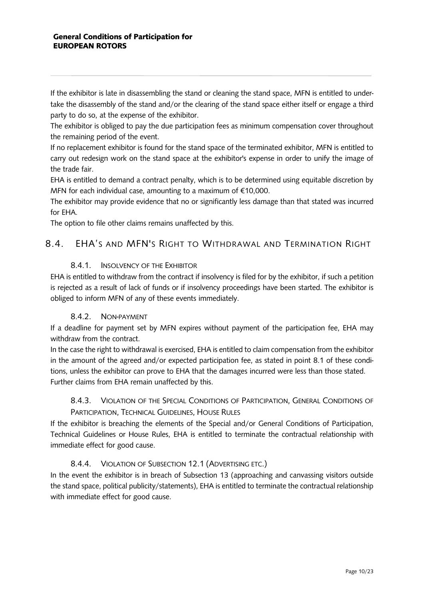If the exhibitor is late in disassembling the stand or cleaning the stand space, MFN is entitled to undertake the disassembly of the stand and/or the clearing of the stand space either itself or engage a third party to do so, at the expense of the exhibitor.

The exhibitor is obliged to pay the due participation fees as minimum compensation cover throughout the remaining period of the event.

If no replacement exhibitor is found for the stand space of the terminated exhibitor, MFN is entitled to carry out redesign work on the stand space at the exhibitor's expense in order to unify the image of the trade fair.

EHA is entitled to demand a contract penalty, which is to be determined using equitable discretion by MFN for each individual case, amounting to a maximum of €10,000.

The exhibitor may provide evidence that no or significantly less damage than that stated was incurred for EHA.

The option to file other claims remains unaffected by this.

### <span id="page-9-0"></span>8.4. EHA'S AND MFN'S RIGHT TO WITHDRAWAL AND TERMINATION RIGHT

#### 8.4.1. INSOLVENCY OF THE EXHIBITOR

<span id="page-9-1"></span>EHA is entitled to withdraw from the contract if insolvency is filed for by the exhibitor, if such a petition is rejected as a result of lack of funds or if insolvency proceedings have been started. The exhibitor is obliged to inform MFN of any of these events immediately.

#### 8.4.2. NON-PAYMENT

<span id="page-9-2"></span>If a deadline for payment set by MFN expires without payment of the participation fee, EHA may withdraw from the contract.

In the case the right to withdrawal is exercised, EHA is entitled to claim compensation from the exhibitor in the amount of the agreed and/or expected participation fee, as stated in point 8.1 of these conditions, unless the exhibitor can prove to EHA that the damages incurred were less than those stated. Further claims from EHA remain unaffected by this.

### <span id="page-9-3"></span>8.4.3. VIOLATION OF THE SPECIAL CONDITIONS OF PARTICIPATION, GENERAL CONDITIONS OF PARTICIPATION, TECHNICAL GUIDELINES, HOUSE RULES

If the exhibitor is breaching the elements of the Special and/or General Conditions of Participation, Technical Guidelines or House Rules, EHA is entitled to terminate the contractual relationship with immediate effect for good cause.

### 8.4.4. VIOLATION OF SUBSECTION 12.1 (ADVERTISING ETC.)

<span id="page-9-4"></span>In the event the exhibitor is in breach of Subsection 13 (approaching and canvassing visitors outside the stand space, political publicity/statements), EHA is entitled to terminate the contractual relationship with immediate effect for good cause.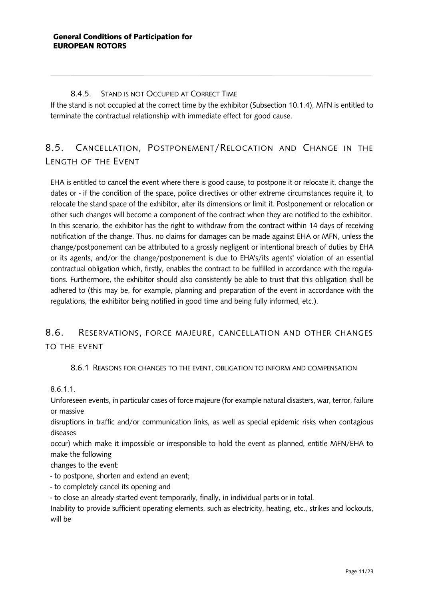#### 8.4.5. STAND IS NOT OCCUPIED AT CORRECT TIME

<span id="page-10-0"></span>If the stand is not occupied at the correct time by the exhibitor (Subsection 10.1.4), MFN is entitled to terminate the contractual relationship with immediate effect for good cause.

# <span id="page-10-1"></span>8.5. CANCELLATION, POSTPONEMENT/RELOCATION AND CHANGE IN THE LENGTH OF THE EVENT

EHA is entitled to cancel the event where there is good cause, to postpone it or relocate it, change the dates or - if the condition of the space, police directives or other extreme circumstances require it, to relocate the stand space of the exhibitor, alter its dimensions or limit it. Postponement or relocation or other such changes will become a component of the contract when they are notified to the exhibitor. In this scenario, the exhibitor has the right to withdraw from the contract within 14 days of receiving notification of the change. Thus, no claims for damages can be made against EHA or MFN, unless the change/postponement can be attributed to a grossly negligent or intentional breach of duties by EHA or its agents, and/or the change/postponement is due to EHA's/its agents' violation of an essential contractual obligation which, firstly, enables the contract to be fulfilled in accordance with the regulations. Furthermore, the exhibitor should also consistently be able to trust that this obligation shall be adhered to (this may be, for example, planning and preparation of the event in accordance with the regulations, the exhibitor being notified in good time and being fully informed, etc.).

### 8.6. RESERVATIONS, FORCE MAJEURE, CANCELLATION AND OTHER CHANGES TO THE EVENT

#### 8.6.1 REASONS FOR CHANGES TO THE EVENT, OBLIGATION TO INFORM AND COMPENSATION

8.6.1.1.

Unforeseen events, in particular cases of force majeure (for example natural disasters, war, terror, failure or massive

disruptions in traffic and/or communication links, as well as special epidemic risks when contagious diseases

occur) which make it impossible or irresponsible to hold the event as planned, entitle MFN/EHA to make the following

changes to the event:

- to postpone, shorten and extend an event;

- to completely cancel its opening and

- to close an already started event temporarily, finally, in individual parts or in total.

Inability to provide sufficient operating elements, such as electricity, heating, etc., strikes and lockouts, will be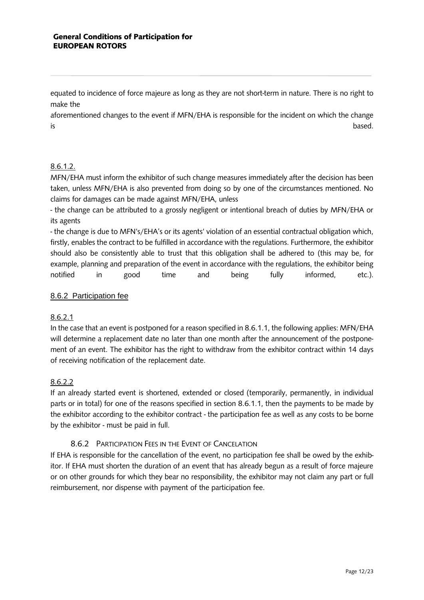#### General Conditions of Participation for EUROPEAN ROTORS

equated to incidence of force majeure as long as they are not short-term in nature. There is no right to make the

aforementioned changes to the event if MFN/EHA is responsible for the incident on which the change is based.

#### 8.6.1.2.

MFN/EHA must inform the exhibitor of such change measures immediately after the decision has been taken, unless MFN/EHA is also prevented from doing so by one of the circumstances mentioned. No claims for damages can be made against MFN/EHA, unless

- the change can be attributed to a grossly negligent or intentional breach of duties by MFN/EHA or its agents

- the change is due to MFN's/EHA's or its agents' violation of an essential contractual obligation which, firstly, enables the contract to be fulfilled in accordance with the regulations. Furthermore, the exhibitor should also be consistently able to trust that this obligation shall be adhered to (this may be, for example, planning and preparation of the event in accordance with the regulations, the exhibitor being notified in good time and being fully informed, etc.).

#### 8.6.2 Participation fee

### 8.6.2.1

In the case that an event is postponed for a reason specified in 8.6.1.1, the following applies: MFN/EHA will determine a replacement date no later than one month after the announcement of the postponement of an event. The exhibitor has the right to withdraw from the exhibitor contract within 14 days of receiving notification of the replacement date.

#### 8.6.2.2

If an already started event is shortened, extended or closed (temporarily, permanently, in individual parts or in total) for one of the reasons specified in section 8.6.1.1, then the payments to be made by the exhibitor according to the exhibitor contract - the participation fee as well as any costs to be borne by the exhibitor - must be paid in full.

### 8.6.2 PARTICIPATION FEES IN THE EVENT OF CANCELATION

<span id="page-11-0"></span>If EHA is responsible for the cancellation of the event, no participation fee shall be owed by the exhibitor. If EHA must shorten the duration of an event that has already begun as a result of force majeure or on other grounds for which they bear no responsibility, the exhibitor may not claim any part or full reimbursement, nor dispense with payment of the participation fee.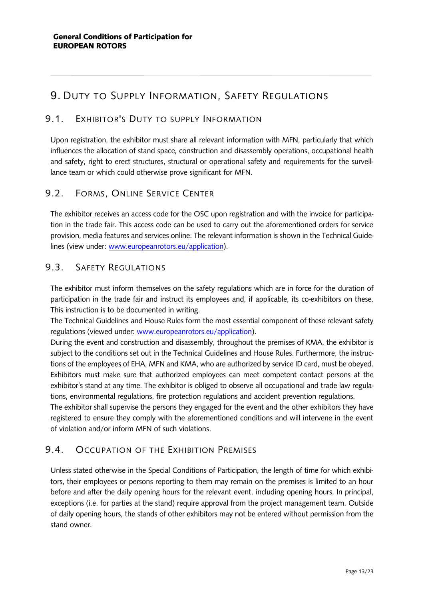# <span id="page-12-0"></span>9. DUTY TO SUPPLY INFORMATION, SAFETY REGULATIONS

### <span id="page-12-1"></span>9.1. EXHIBITOR'S DUTY TO SUPPLY INFORMATION

Upon registration, the exhibitor must share all relevant information with MFN, particularly that which influences the allocation of stand space, construction and disassembly operations, occupational health and safety, right to erect structures, structural or operational safety and requirements for the surveillance team or which could otherwise prove significant for MFN.

### <span id="page-12-2"></span>9.2. FORMS, ONLINE SERVICE CENTER

The exhibitor receives an access code for the OSC upon registration and with the invoice for participation in the trade fair. This access code can be used to carry out the aforementioned orders for service provision, media features and services online. The relevant information is shown in the Technical Guidelines (view under: [www.europeanrotors.eu/a](http://www.europeanrotors.eu/)pplication).

### <span id="page-12-3"></span>9.3. SAFETY REGULATIONS

The exhibitor must inform themselves on the safety regulations which are in force for the duration of participation in the trade fair and instruct its employees and, if applicable, its co-exhibitors on these. This instruction is to be documented in writing.

The Technical Guidelines and House Rules form the most essential component of these relevant safety regulations (viewed under: [www.europeanrotors.eu/a](http://www.europeanrotors.eu/)pplication).

During the event and construction and disassembly, throughout the premises of KMA, the exhibitor is subject to the conditions set out in the Technical Guidelines and House Rules. Furthermore, the instructions of the employees of EHA, MFN and KMA, who are authorized by service ID card, must be obeyed. Exhibitors must make sure that authorized employees can meet competent contact persons at the exhibitor's stand at any time. The exhibitor is obliged to observe all occupational and trade law regulations, environmental regulations, fire protection regulations and accident prevention regulations.

The exhibitor shall supervise the persons they engaged for the event and the other exhibitors they have registered to ensure they comply with the aforementioned conditions and will intervene in the event of violation and/or inform MFN of such violations.

### <span id="page-12-4"></span>9.4. OCCUPATION OF THE EXHIBITION PREMISES

Unless stated otherwise in the Special Conditions of Participation, the length of time for which exhibitors, their employees or persons reporting to them may remain on the premises is limited to an hour before and after the daily opening hours for the relevant event, including opening hours. In principal, exceptions (i.e. for parties at the stand) require approval from the project management team. Outside of daily opening hours, the stands of other exhibitors may not be entered without permission from the stand owner.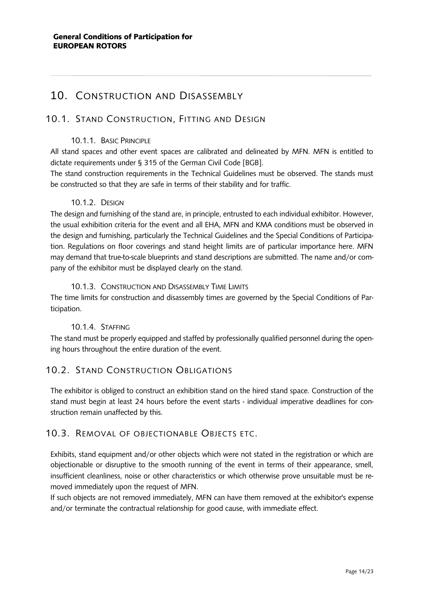### <span id="page-13-0"></span>10. CONSTRUCTION AND DISASSEMBLY

### <span id="page-13-1"></span>10.1. STAND CONSTRUCTION, FITTING AND DESIGN

#### 10.1.1. BASIC PRINCIPLE

<span id="page-13-2"></span>All stand spaces and other event spaces are calibrated and delineated by MFN. MFN is entitled to dictate requirements under § 315 of the German Civil Code [BGB].

The stand construction requirements in the Technical Guidelines must be observed. The stands must be constructed so that they are safe in terms of their stability and for traffic.

#### 10.1.2. DESIGN

<span id="page-13-3"></span>The design and furnishing of the stand are, in principle, entrusted to each individual exhibitor. However, the usual exhibition criteria for the event and all EHA, MFN and KMA conditions must be observed in the design and furnishing, particularly the Technical Guidelines and the Special Conditions of Participation. Regulations on floor coverings and stand height limits are of particular importance here. MFN may demand that true-to-scale blueprints and stand descriptions are submitted. The name and/or company of the exhibitor must be displayed clearly on the stand.

#### 10.1.3. CONSTRUCTION AND DISASSEMBLY TIME LIMITS

<span id="page-13-4"></span>The time limits for construction and disassembly times are governed by the Special Conditions of Participation.

#### 10.1.4. STAFFING

<span id="page-13-5"></span>The stand must be properly equipped and staffed by professionally qualified personnel during the opening hours throughout the entire duration of the event.

### <span id="page-13-6"></span>10.2. STAND CONSTRUCTION OBLIGATIONS

The exhibitor is obliged to construct an exhibition stand on the hired stand space. Construction of the stand must begin at least 24 hours before the event starts - individual imperative deadlines for construction remain unaffected by this.

### <span id="page-13-7"></span>10.3. REMOVAL OF OBJECTIONABLE OBJECTS ETC.

Exhibits, stand equipment and/or other objects which were not stated in the registration or which are objectionable or disruptive to the smooth running of the event in terms of their appearance, smell, insufficient cleanliness, noise or other characteristics or which otherwise prove unsuitable must be removed immediately upon the request of MFN.

If such objects are not removed immediately, MFN can have them removed at the exhibitor's expense and/or terminate the contractual relationship for good cause, with immediate effect.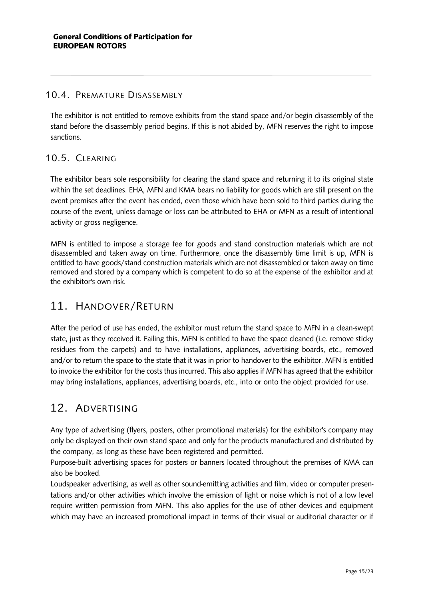### <span id="page-14-0"></span>10.4. PREMATURE DISASSEMBLY

The exhibitor is not entitled to remove exhibits from the stand space and/or begin disassembly of the stand before the disassembly period begins. If this is not abided by, MFN reserves the right to impose sanctions.

### <span id="page-14-1"></span>10.5. CLEARING

The exhibitor bears sole responsibility for clearing the stand space and returning it to its original state within the set deadlines. EHA, MFN and KMA bears no liability for goods which are still present on the event premises after the event has ended, even those which have been sold to third parties during the course of the event, unless damage or loss can be attributed to EHA or MFN as a result of intentional activity or gross negligence.

MFN is entitled to impose a storage fee for goods and stand construction materials which are not disassembled and taken away on time. Furthermore, once the disassembly time limit is up, MFN is entitled to have goods/stand construction materials which are not disassembled or taken away on time removed and stored by a company which is competent to do so at the expense of the exhibitor and at the exhibitor's own risk.

### <span id="page-14-2"></span>11. HANDOVER/RETURN

After the period of use has ended, the exhibitor must return the stand space to MFN in a clean-swept state, just as they received it. Failing this, MFN is entitled to have the space cleaned (i.e. remove sticky residues from the carpets) and to have installations, appliances, advertising boards, etc., removed and/or to return the space to the state that it was in prior to handover to the exhibitor. MFN is entitled to invoice the exhibitor for the costs thus incurred. This also applies if MFN has agreed that the exhibitor may bring installations, appliances, advertising boards, etc., into or onto the object provided for use.

### <span id="page-14-3"></span>12. ADVERTISING

Any type of advertising (flyers, posters, other promotional materials) for the exhibitor's company may only be displayed on their own stand space and only for the products manufactured and distributed by the company, as long as these have been registered and permitted.

Purpose-built advertising spaces for posters or banners located throughout the premises of KMA can also be booked.

Loudspeaker advertising, as well as other sound-emitting activities and film, video or computer presentations and/or other activities which involve the emission of light or noise which is not of a low level require written permission from MFN. This also applies for the use of other devices and equipment which may have an increased promotional impact in terms of their visual or auditorial character or if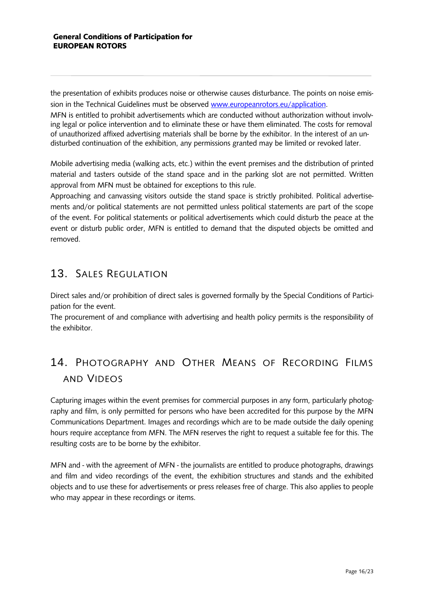the presentation of exhibits produces noise or otherwise causes disturbance. The points on noise emission in the Technical Guidelines must be observed [www.europeanrotors.eu/a](http://www.europeanrotors.eu/)pplication.

MFN is entitled to prohibit advertisements which are conducted without authorization without involving legal or police intervention and to eliminate these or have them eliminated. The costs for removal of unauthorized affixed advertising materials shall be borne by the exhibitor. In the interest of an undisturbed continuation of the exhibition, any permissions granted may be limited or revoked later.

Mobile advertising media (walking acts, etc.) within the event premises and the distribution of printed material and tasters outside of the stand space and in the parking slot are not permitted. Written approval from MFN must be obtained for exceptions to this rule.

Approaching and canvassing visitors outside the stand space is strictly prohibited. Political advertisements and/or political statements are not permitted unless political statements are part of the scope of the event. For political statements or political advertisements which could disturb the peace at the event or disturb public order, MFN is entitled to demand that the disputed objects be omitted and removed.

# <span id="page-15-0"></span>13. SALES REGULATION

Direct sales and/or prohibition of direct sales is governed formally by the Special Conditions of Participation for the event.

<span id="page-15-1"></span>The procurement of and compliance with advertising and health policy permits is the responsibility of the exhibitor.

# 14. PHOTOGRAPHY AND OTHER MEANS OF RECORDING FILMS AND VIDEOS

Capturing images within the event premises for commercial purposes in any form, particularly photography and film, is only permitted for persons who have been accredited for this purpose by the MFN Communications Department. Images and recordings which are to be made outside the daily opening hours require acceptance from MFN. The MFN reserves the right to request a suitable fee for this. The resulting costs are to be borne by the exhibitor.

MFN and - with the agreement of MFN - the journalists are entitled to produce photographs, drawings and film and video recordings of the event, the exhibition structures and stands and the exhibited objects and to use these for advertisements or press releases free of charge. This also applies to people who may appear in these recordings or items.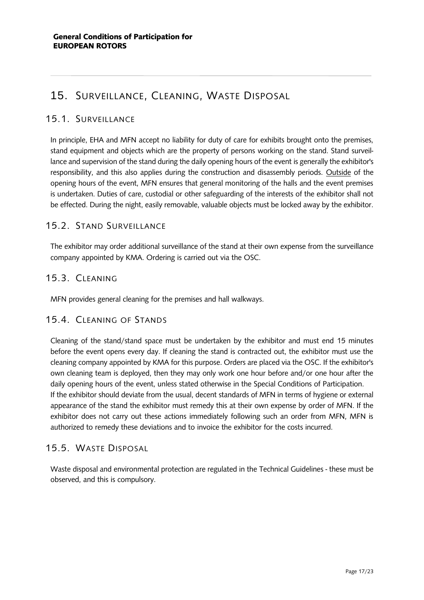# <span id="page-16-0"></span>15. SURVEILLANCE, CLEANING, WASTE DISPOSAL

### <span id="page-16-1"></span>15.1. SURVEILLANCE

In principle, EHA and MFN accept no liability for duty of care for exhibits brought onto the premises, stand equipment and objects which are the property of persons working on the stand. Stand surveillance and supervision of the stand during the daily opening hours of the event is generally the exhibitor's responsibility, and this also applies during the construction and disassembly periods. Outside of the opening hours of the event, MFN ensures that general monitoring of the halls and the event premises is undertaken. Duties of care, custodial or other safeguarding of the interests of the exhibitor shall not be effected. During the night, easily removable, valuable objects must be locked away by the exhibitor.

### <span id="page-16-2"></span>15.2. STAND SURVEILLANCE

The exhibitor may order additional surveillance of the stand at their own expense from the surveillance company appointed by KMA. Ordering is carried out via the OSC.

### <span id="page-16-3"></span>15.3. CLEANING

<span id="page-16-4"></span>MFN provides general cleaning for the premises and hall walkways.

### 15.4. CLEANING OF STANDS

Cleaning of the stand/stand space must be undertaken by the exhibitor and must end 15 minutes before the event opens every day. If cleaning the stand is contracted out, the exhibitor must use the cleaning company appointed by KMA for this purpose. Orders are placed via the OSC. If the exhibitor's own cleaning team is deployed, then they may only work one hour before and/or one hour after the daily opening hours of the event, unless stated otherwise in the Special Conditions of Participation. If the exhibitor should deviate from the usual, decent standards of MFN in terms of hygiene or external appearance of the stand the exhibitor must remedy this at their own expense by order of MFN. If the exhibitor does not carry out these actions immediately following such an order from MFN, MFN is authorized to remedy these deviations and to invoice the exhibitor for the costs incurred.

### <span id="page-16-5"></span>15.5. WASTE DISPOSAL

Waste disposal and environmental protection are regulated in the Technical Guidelines - these must be observed, and this is compulsory.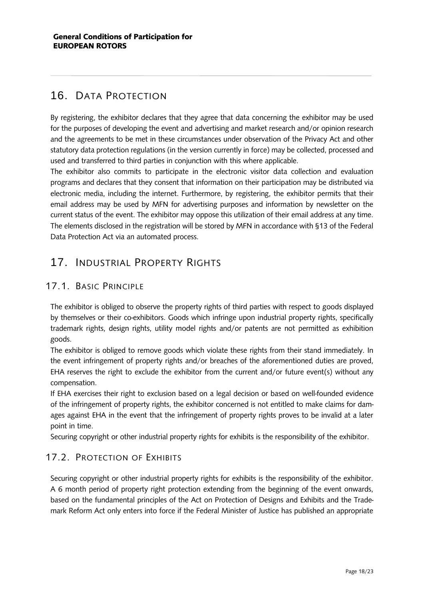# <span id="page-17-0"></span>16. DATA PROTECTION

By registering, the exhibitor declares that they agree that data concerning the exhibitor may be used for the purposes of developing the event and advertising and market research and/or opinion research and the agreements to be met in these circumstances under observation of the Privacy Act and other statutory data protection regulations (in the version currently in force) may be collected, processed and used and transferred to third parties in conjunction with this where applicable.

The exhibitor also commits to participate in the electronic visitor data collection and evaluation programs and declares that they consent that information on their participation may be distributed via electronic media, including the internet. Furthermore, by registering, the exhibitor permits that their email address may be used by MFN for advertising purposes and information by newsletter on the current status of the event. The exhibitor may oppose this utilization of their email address at any time. The elements disclosed in the registration will be stored by MFN in accordance with §13 of the Federal Data Protection Act via an automated process.

# <span id="page-17-1"></span>17. INDUSTRIAL PROPERTY RIGHTS

### <span id="page-17-2"></span>17.1. BASIC PRINCIPLE

The exhibitor is obliged to observe the property rights of third parties with respect to goods displayed by themselves or their co-exhibitors. Goods which infringe upon industrial property rights, specifically trademark rights, design rights, utility model rights and/or patents are not permitted as exhibition goods.

The exhibitor is obliged to remove goods which violate these rights from their stand immediately. In the event infringement of property rights and/or breaches of the aforementioned duties are proved, EHA reserves the right to exclude the exhibitor from the current and/or future event(s) without any compensation.

If EHA exercises their right to exclusion based on a legal decision or based on well-founded evidence of the infringement of property rights, the exhibitor concerned is not entitled to make claims for damages against EHA in the event that the infringement of property rights proves to be invalid at a later point in time.

Securing copyright or other industrial property rights for exhibits is the responsibility of the exhibitor.

### <span id="page-17-3"></span>17.2. PROTECTION OF EXHIBITS

Securing copyright or other industrial property rights for exhibits is the responsibility of the exhibitor. A 6 month period of property right protection extending from the beginning of the event onwards, based on the fundamental principles of the Act on Protection of Designs and Exhibits and the Trademark Reform Act only enters into force if the Federal Minister of Justice has published an appropriate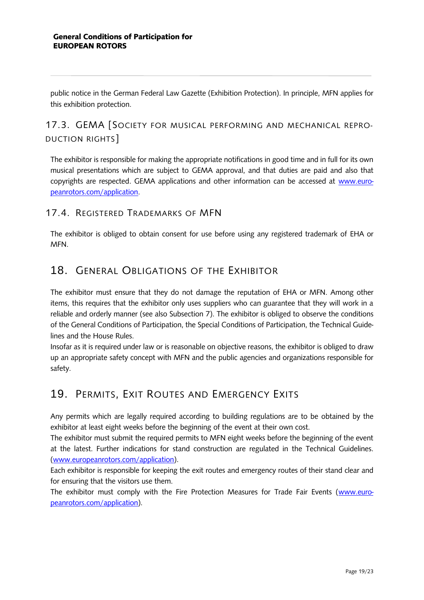public notice in the German Federal Law Gazette (Exhibition Protection). In principle, MFN applies for this exhibition protection.

### <span id="page-18-0"></span>17.3. GEMA [SOCIETY FOR MUSICAL PERFORMING AND MECHANICAL REPRO-DUCTION RIGHTS]

The exhibitor is responsible for making the appropriate notifications in good time and in full for its own musical presentations which are subject to GEMA approval, and that duties are paid and also that copyrights are respected. GEMA applications and other information can be accessed at [www.euro](http://www.europeanrotors.com/)[peanrotors.com/a](http://www.europeanrotors.com/)pplication.

### <span id="page-18-1"></span>17.4. REGISTERED TRADEMARKS OF MFN

The exhibitor is obliged to obtain consent for use before using any registered trademark of EHA or MFN.

### <span id="page-18-2"></span>18. GENERAL OBLIGATIONS OF THE EXHIBITOR

The exhibitor must ensure that they do not damage the reputation of EHA or MFN. Among other items, this requires that the exhibitor only uses suppliers who can guarantee that they will work in a reliable and orderly manner (see also Subsection 7). The exhibitor is obliged to observe the conditions of the General Conditions of Participation, the Special Conditions of Participation, the Technical Guidelines and the House Rules.

Insofar as it is required under law or is reasonable on objective reasons, the exhibitor is obliged to draw up an appropriate safety concept with MFN and the public agencies and organizations responsible for safety.

### <span id="page-18-3"></span>19. PERMITS, EXIT ROUTES AND EMERGENCY EXITS

Any permits which are legally required according to building regulations are to be obtained by the exhibitor at least eight weeks before the beginning of the event at their own cost.

The exhibitor must submit the required permits to MFN eight weeks before the beginning of the event at the latest. Further indications for stand construction are regulated in the Technical Guidelines. [\(www.europeanrotors.com/a](http://www.hamburg-boat-show.com/)pplication).

Each exhibitor is responsible for keeping the exit routes and emergency routes of their stand clear and for ensuring that the visitors use them.

The exhibitor must comply with the Fire Protection Measures for Trade Fair Events [\(www.euro](http://www.hamburg-boat-show.com/)[peanrotors.com/a](http://www.hamburg-boat-show.com/)pplication).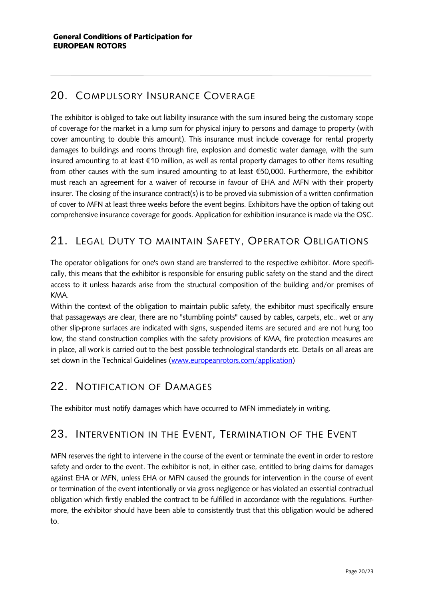# <span id="page-19-0"></span>20. COMPULSORY INSURANCE COVERAGE

The exhibitor is obliged to take out liability insurance with the sum insured being the customary scope of coverage for the market in a lump sum for physical injury to persons and damage to property (with cover amounting to double this amount). This insurance must include coverage for rental property damages to buildings and rooms through fire, explosion and domestic water damage, with the sum insured amounting to at least €10 million, as well as rental property damages to other items resulting from other causes with the sum insured amounting to at least €50,000. Furthermore, the exhibitor must reach an agreement for a waiver of recourse in favour of EHA and MFN with their property insurer. The closing of the insurance contract(s) is to be proved via submission of a written confirmation of cover to MFN at least three weeks before the event begins. Exhibitors have the option of taking out comprehensive insurance coverage for goods. Application for exhibition insurance is made via the OSC.

# <span id="page-19-1"></span>21. LEGAL DUTY TO MAINTAIN SAFETY, OPERATOR OBLIGATIONS

The operator obligations for one's own stand are transferred to the respective exhibitor. More specifically, this means that the exhibitor is responsible for ensuring public safety on the stand and the direct access to it unless hazards arise from the structural composition of the building and/or premises of KMA.

Within the context of the obligation to maintain public safety, the exhibitor must specifically ensure that passageways are clear, there are no "stumbling points" caused by cables, carpets, etc., wet or any other slip-prone surfaces are indicated with signs, suspended items are secured and are not hung too low, the stand construction complies with the safety provisions of KMA, fire protection measures are in place, all work is carried out to the best possible technological standards etc. Details on all areas are set down in the Technical Guidelines [\(www.europeanrotors.com/a](http://www.hamburg-boat-show.com/)pplication)

### <span id="page-19-2"></span>22. NOTIFICATION OF DAMAGES

<span id="page-19-3"></span>The exhibitor must notify damages which have occurred to MFN immediately in writing.

### 23. INTERVENTION IN THE EVENT, TERMINATION OF THE EVENT

MFN reserves the right to intervene in the course of the event or terminate the event in order to restore safety and order to the event. The exhibitor is not, in either case, entitled to bring claims for damages against EHA or MFN, unless EHA or MFN caused the grounds for intervention in the course of event or termination of the event intentionally or via gross negligence or has violated an essential contractual obligation which firstly enabled the contract to be fulfilled in accordance with the regulations. Furthermore, the exhibitor should have been able to consistently trust that this obligation would be adhered to.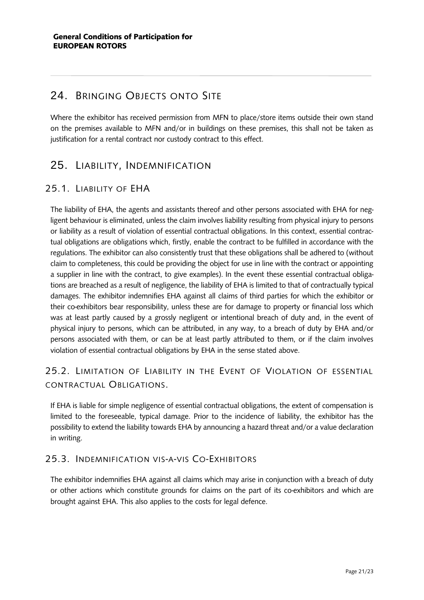### <span id="page-20-0"></span>24. BRINGING OBJECTS ONTO SITE

Where the exhibitor has received permission from MFN to place/store items outside their own stand on the premises available to MFN and/or in buildings on these premises, this shall not be taken as justification for a rental contract nor custody contract to this effect.

### <span id="page-20-1"></span>25. LIABILITY, INDEMNIFICATION

### <span id="page-20-2"></span>25.1. LIABILITY OF EHA

The liability of EHA, the agents and assistants thereof and other persons associated with EHA for negligent behaviour is eliminated, unless the claim involves liability resulting from physical injury to persons or liability as a result of violation of essential contractual obligations. In this context, essential contractual obligations are obligations which, firstly, enable the contract to be fulfilled in accordance with the regulations. The exhibitor can also consistently trust that these obligations shall be adhered to (without claim to completeness, this could be providing the object for use in line with the contract or appointing a supplier in line with the contract, to give examples). In the event these essential contractual obligations are breached as a result of negligence, the liability of EHA is limited to that of contractually typical damages. The exhibitor indemnifies EHA against all claims of third parties for which the exhibitor or their co-exhibitors bear responsibility, unless these are for damage to property or financial loss which was at least partly caused by a grossly negligent or intentional breach of duty and, in the event of physical injury to persons, which can be attributed, in any way, to a breach of duty by EHA and/or persons associated with them, or can be at least partly attributed to them, or if the claim involves violation of essential contractual obligations by EHA in the sense stated above.

### <span id="page-20-3"></span>25.2. LIMITATION OF LIABILITY IN THE EVENT OF VIOLATION OF ESSENTIAL CONTRACTUAL OBLIGATIONS.

If EHA is liable for simple negligence of essential contractual obligations, the extent of compensation is limited to the foreseeable, typical damage. Prior to the incidence of liability, the exhibitor has the possibility to extend the liability towards EHA by announcing a hazard threat and/or a value declaration in writing.

### <span id="page-20-4"></span>25.3. INDEMNIFICATION VIS-A-VIS CO-EXHIBITORS

The exhibitor indemnifies EHA against all claims which may arise in conjunction with a breach of duty or other actions which constitute grounds for claims on the part of its co-exhibitors and which are brought against EHA. This also applies to the costs for legal defence.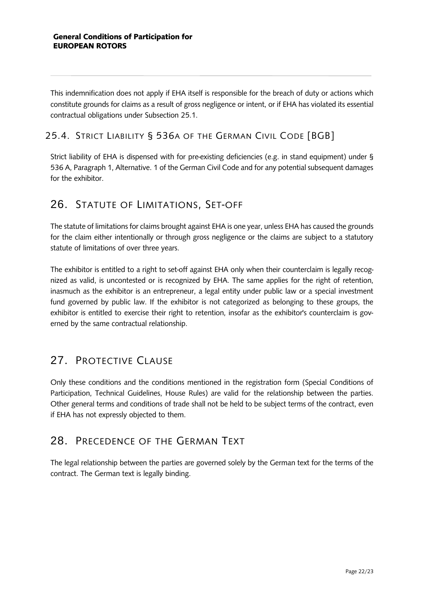This indemnification does not apply if EHA itself is responsible for the breach of duty or actions which constitute grounds for claims as a result of gross negligence or intent, or if EHA has violated its essential contractual obligations under Subsection 25.1.

### <span id="page-21-0"></span>25.4. STRICT LIABILITY § 536A OF THE GERMAN CIVIL CODE [BGB]

Strict liability of EHA is dispensed with for pre-existing deficiencies (e.g. in stand equipment) under § 536 A, Paragraph 1, Alternative. 1 of the German Civil Code and for any potential subsequent damages for the exhibitor.

### <span id="page-21-1"></span>26. STATUTE OF LIMITATIONS, SET-OFF

The statute of limitations for claims brought against EHA is one year, unless EHA has caused the grounds for the claim either intentionally or through gross negligence or the claims are subject to a statutory statute of limitations of over three years.

The exhibitor is entitled to a right to set-off against EHA only when their counterclaim is legally recognized as valid, is uncontested or is recognized by EHA. The same applies for the right of retention, inasmuch as the exhibitor is an entrepreneur, a legal entity under public law or a special investment fund governed by public law. If the exhibitor is not categorized as belonging to these groups, the exhibitor is entitled to exercise their right to retention, insofar as the exhibitor's counterclaim is governed by the same contractual relationship.

# <span id="page-21-2"></span>27. PROTECTIVE CLAUSE

Only these conditions and the conditions mentioned in the registration form (Special Conditions of Participation, Technical Guidelines, House Rules) are valid for the relationship between the parties. Other general terms and conditions of trade shall not be held to be subject terms of the contract, even if EHA has not expressly objected to them.

# <span id="page-21-3"></span>28. PRECEDENCE OF THE GERMAN TEXT

The legal relationship between the parties are governed solely by the German text for the terms of the contract. The German text is legally binding.